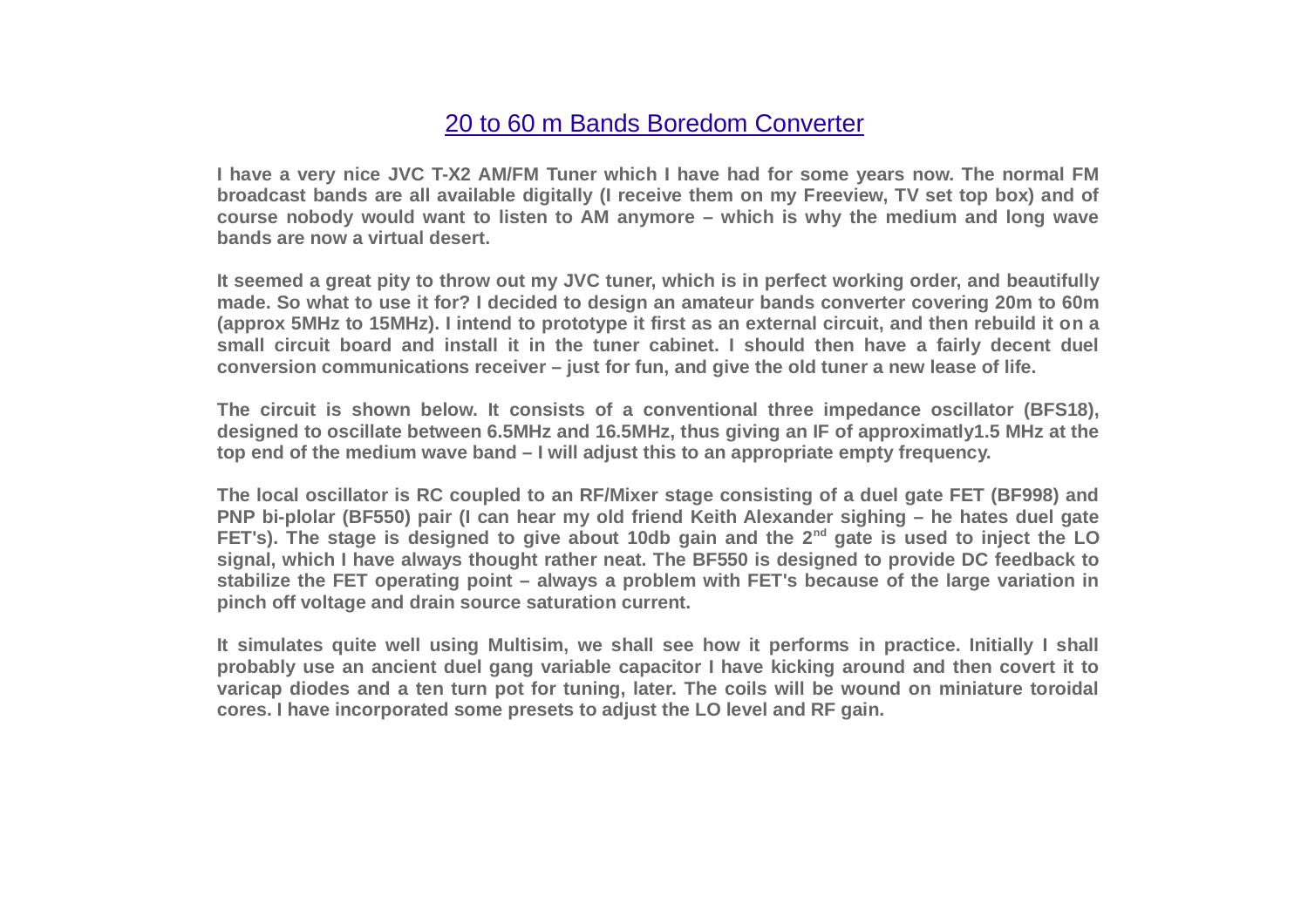# 20 to 60 m Bands Boredom Converter

**I have a very nice JVC T-X2 AM/FM Tuner which I have had for some years now. The normal FM broadcast bands are all available digitally (I receive them on my Freeview, TV set top box) and of course nobody would want to listen to AM anymore – which is why the medium and long wave bands are now a virtual desert.**

**It seemed a great pity to throw out my JVC tuner, which is in perfect working order, and beautifully made. So what to use it for? I decided to design an amateur bands converter covering 20m to 60m (approx 5MHz to 15MHz). I intend to prototype it first as an external circuit, and then rebuild it on a small circuit board and install it in the tuner cabinet. I should then have a fairly decent duel conversion communications receiver – just for fun, and give the old tuner a new lease of life.**

**The circuit is shown below. It consists of a conventional three impedance oscillator (BFS18), designed to oscillate between 6.5MHz and 16.5MHz, thus giving an IF of approximatly1.5 MHz at the top end of the medium wave band – I will adjust this to an appropriate empty frequency.**

**The local oscillator is RC coupled to an RF/Mixer stage consisting of a duel gate FET (BF998) and PNP bi-plolar (BF550) pair (I can hear my old friend Keith Alexander sighing – he hates duel gate FET's). The stage is designed to give about 10db gain and the 2nd gate is used to inject the LO signal, which I have always thought rather neat. The BF550 is designed to provide DC feedback to stabilize the FET operating point – always a problem with FET's because of the large variation in pinch off voltage and drain source saturation current.**

**It simulates quite well using Multisim, we shall see how it performs in practice. Initially I shall probably use an ancient duel gang variable capacitor I have kicking around and then covert it to varicap diodes and a ten turn pot for tuning, later. The coils will be wound on miniature toroidal cores. I have incorporated some presets to adjust the LO level and RF gain.**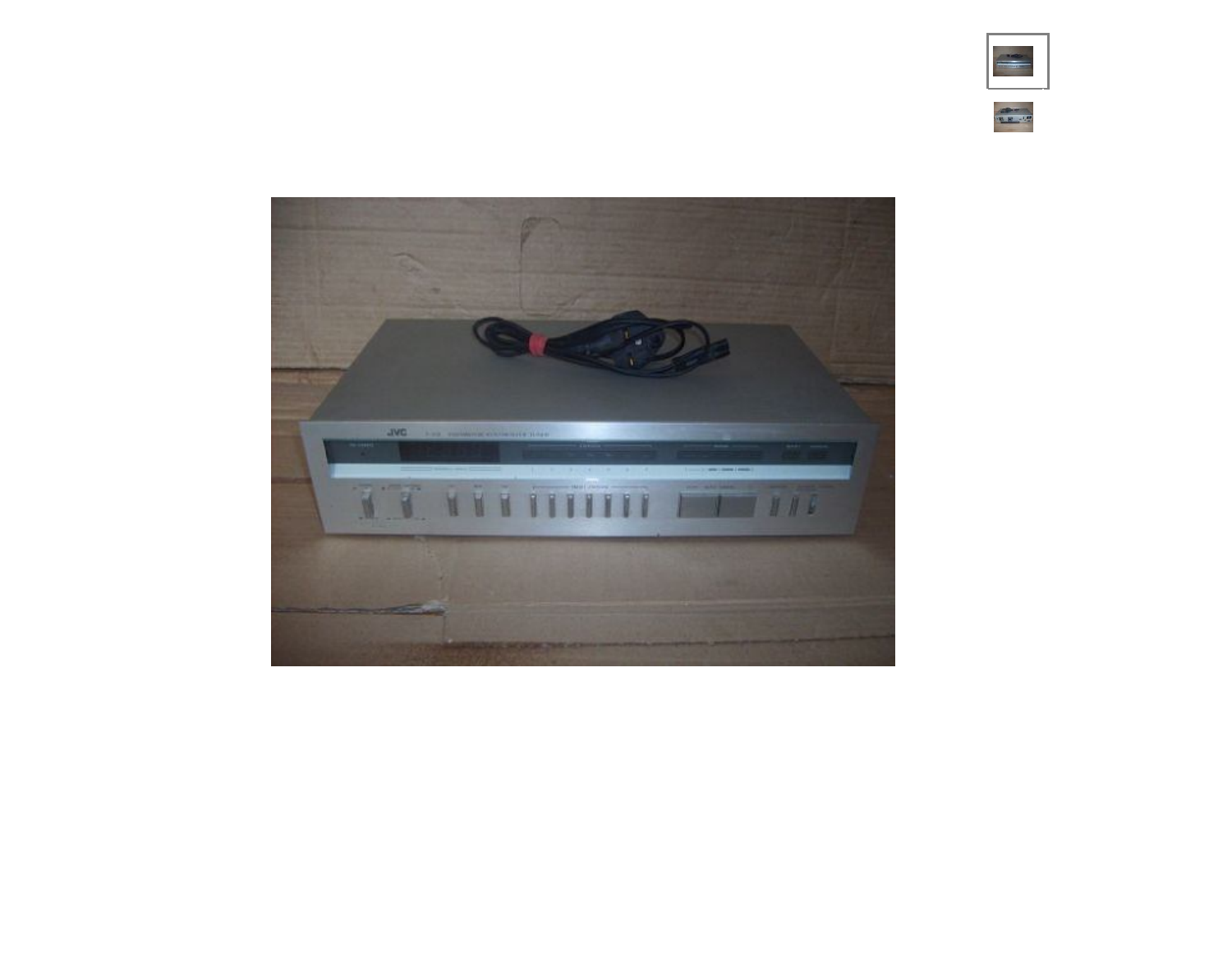



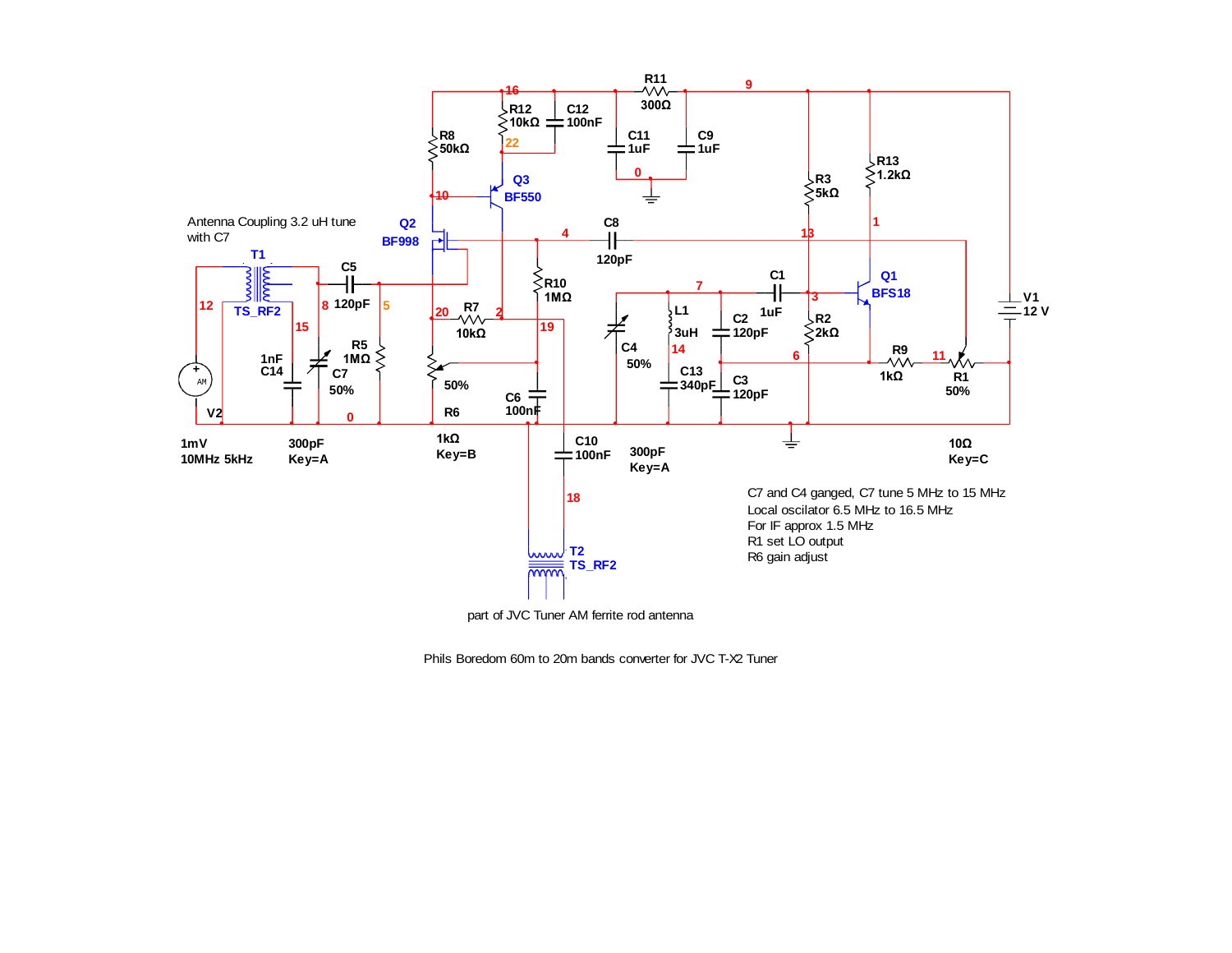

Phils Boredom 60m to 20m bands converter for JVC T-X2 Tuner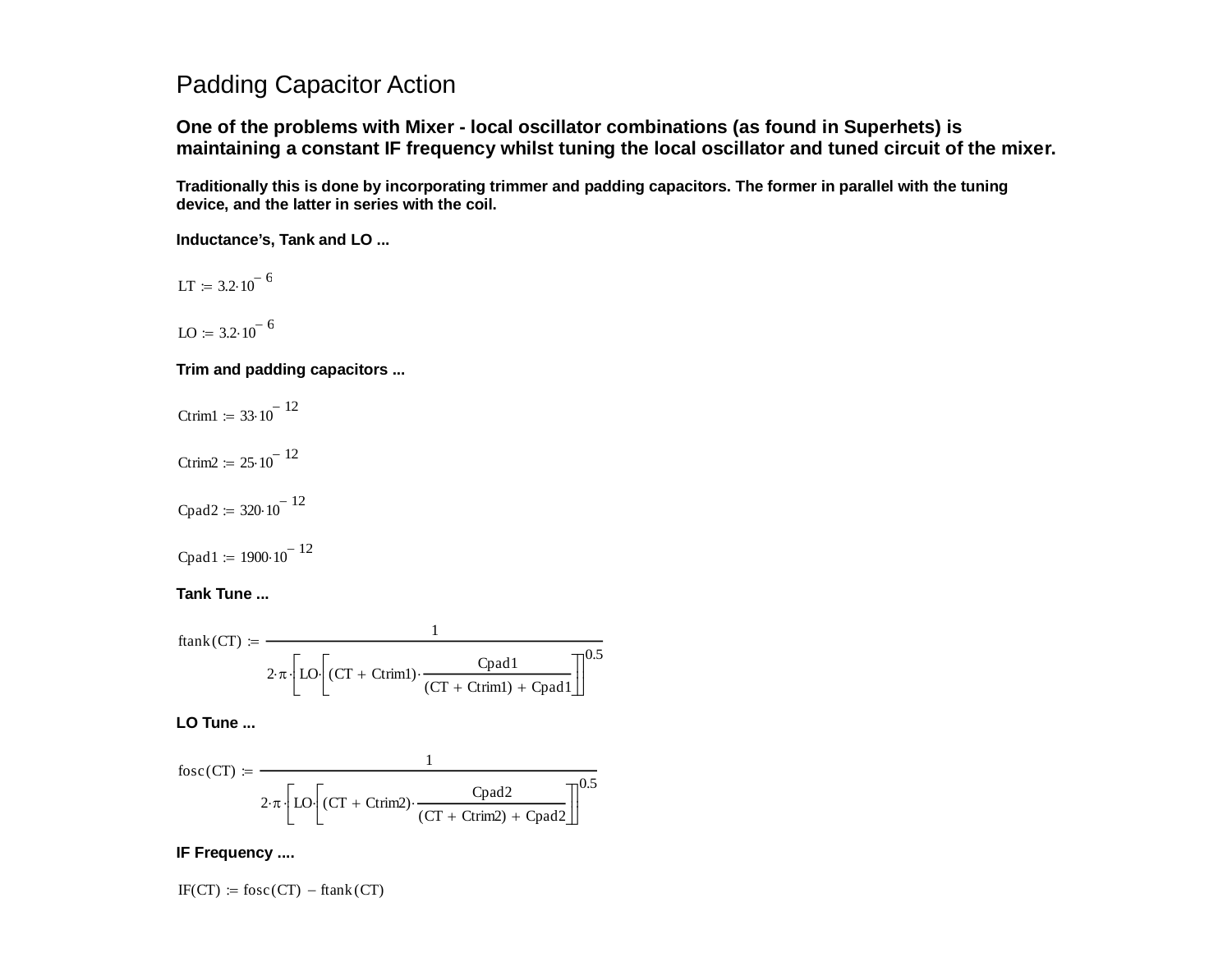## Padding Capacitor Action

**One of the problems with Mixer - local oscillator combinations (as found in Superhets) is maintaining a constant IF frequency whilst tuning the local oscillator and tuned circuit of the mixer.**

**Traditionally this is done by incorporating trimmer and padding capacitors. The former in parallel with the tuning device, and the latter in series with the coil.** 

**Inductance's, Tank and LO ...**

LT  $=$  3.2 $\cdot 10^{-6}$ 

LO :=  $3.2 \cdot 10^{-6}$ 

**Trim and padding capacitors ...**

Ctrim1  $= 33.10^{-12}$ 

Ctrim2  $= 25.10^{-12}$ 

Cpad2 :=  $320 \cdot 10^{-12}$ 

Cpad1 :=  $1900 \cdot 10^{-12}$ 

#### **Tank Tune ...**

$$
\text{ftank (CT)} := \frac{1}{2 \cdot \pi \cdot \left[ \text{LO} \cdot \left[ (\text{CT} + \text{Ctrim1}) \cdot \frac{\text{Cpad1}}{(\text{CT} + \text{Ctrim1}) + \text{Cpad1}} \right] \right]^{0.5}}
$$

**LO Tune ...**

$$
fosc(CT) := \frac{1}{2 \cdot \pi \cdot \left[ LO \cdot \left[ (CT + Citim2) \cdot \frac{Cpad2}{(CT + Citim2) + Cpad2} \right] \right]^{0.5}}
$$

#### **IF Frequency ....**

 $IF(CT) := fosc(CT) - f tank(CT)$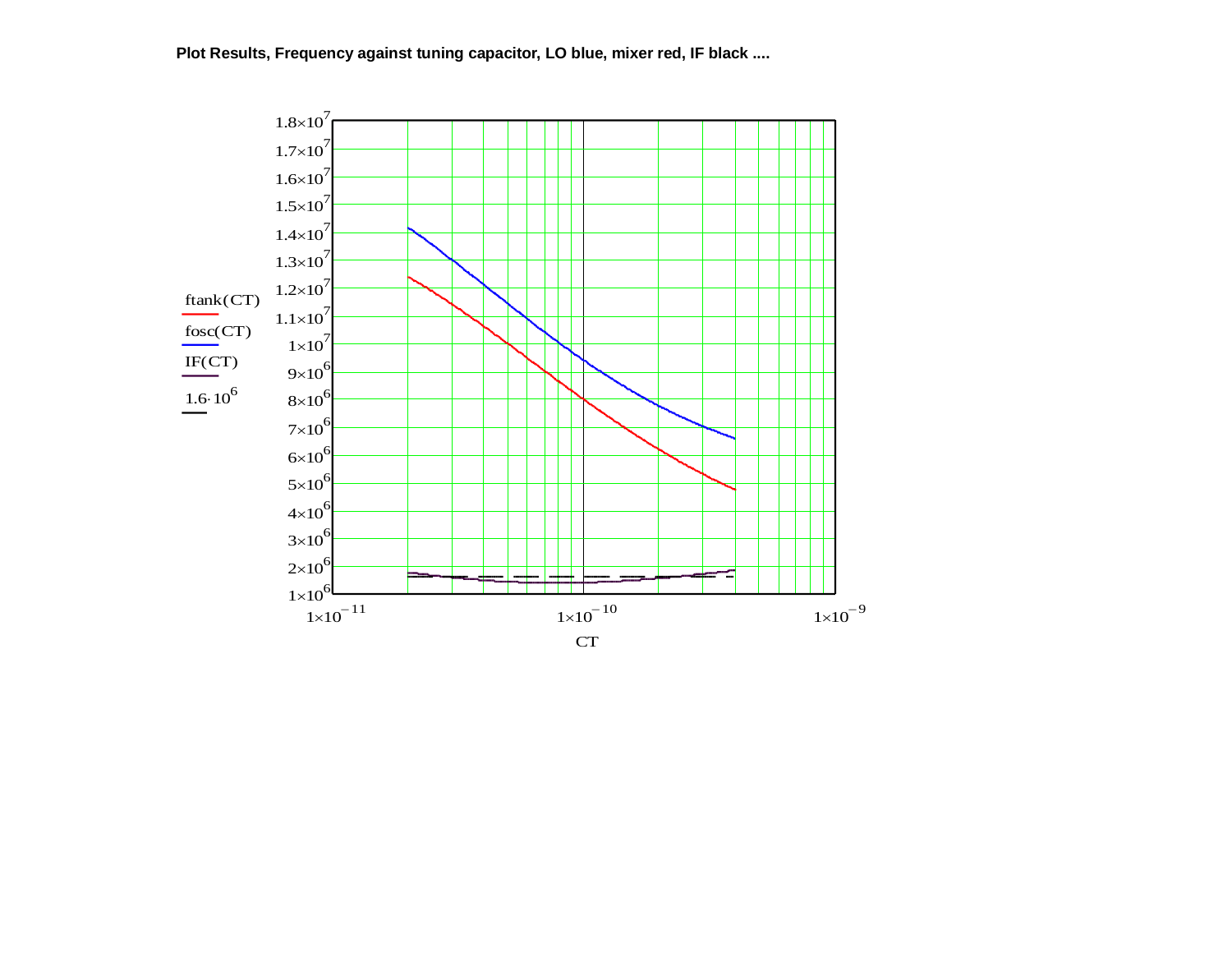**Plot Results, Frequency against tuning capacitor, LO blue, mixer red, IF black ....**

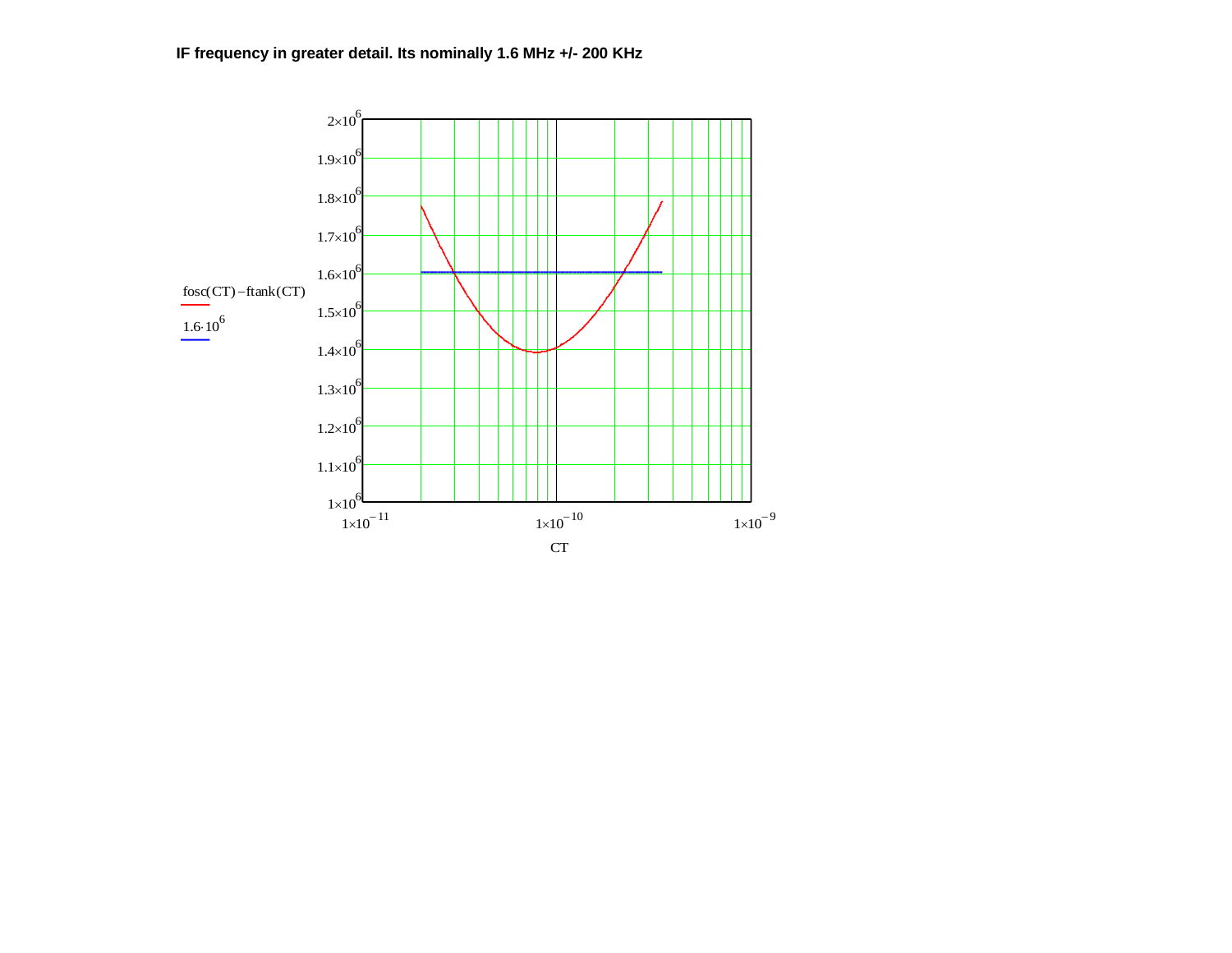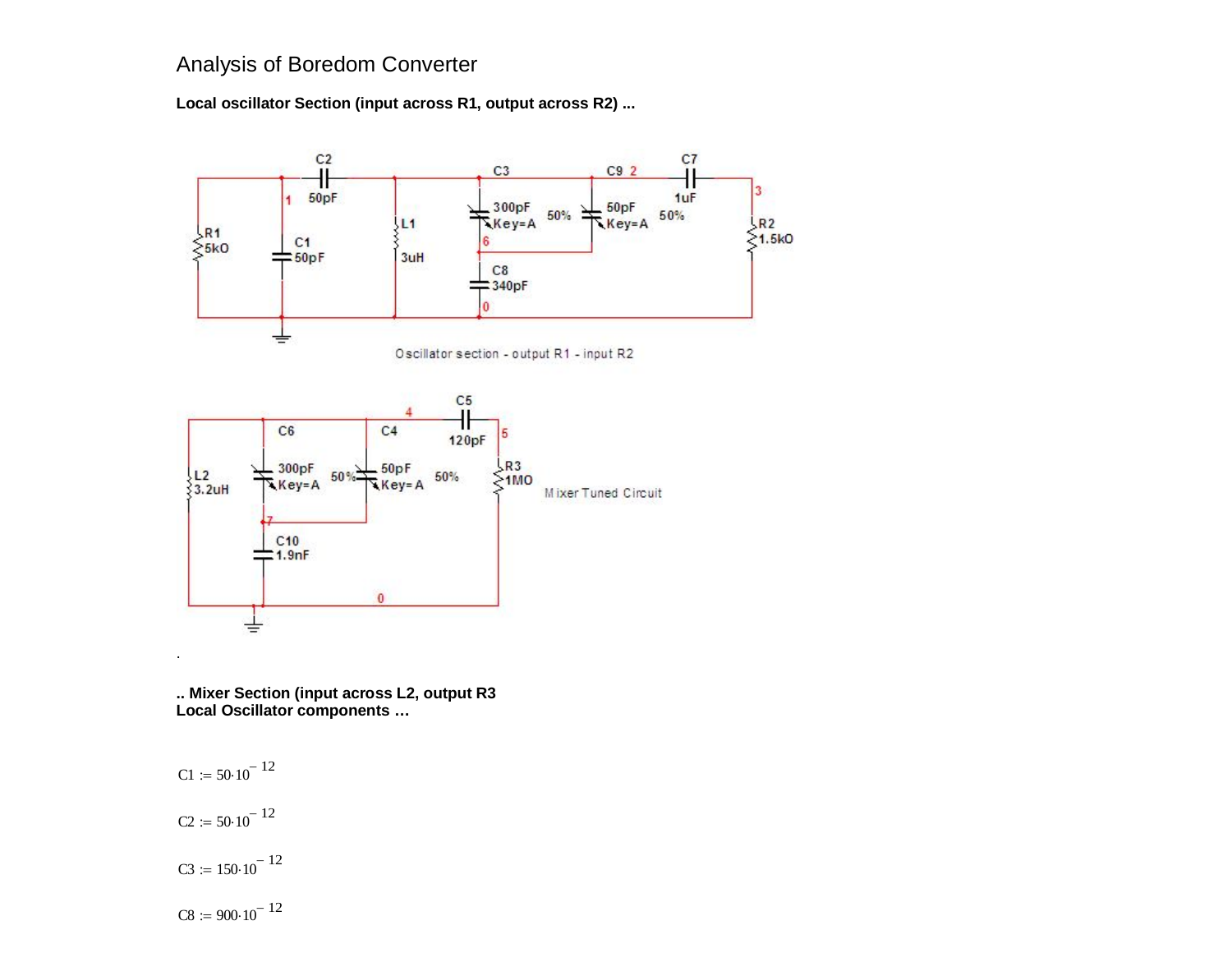### Analysis of Boredom Converter

**Local oscillator Section (input across R1, output across R2) ...**



**.. Mixer Section (input across L2, output R3 Local Oscillator components …**

 $C1 := 50.10^{-12}$  $C2 \coloneqq 50 \cdot 10^{-12}$  $C3 \coloneqq 150 \cdot 10^{-12}$  $CS := 900 \cdot 10^{-12}$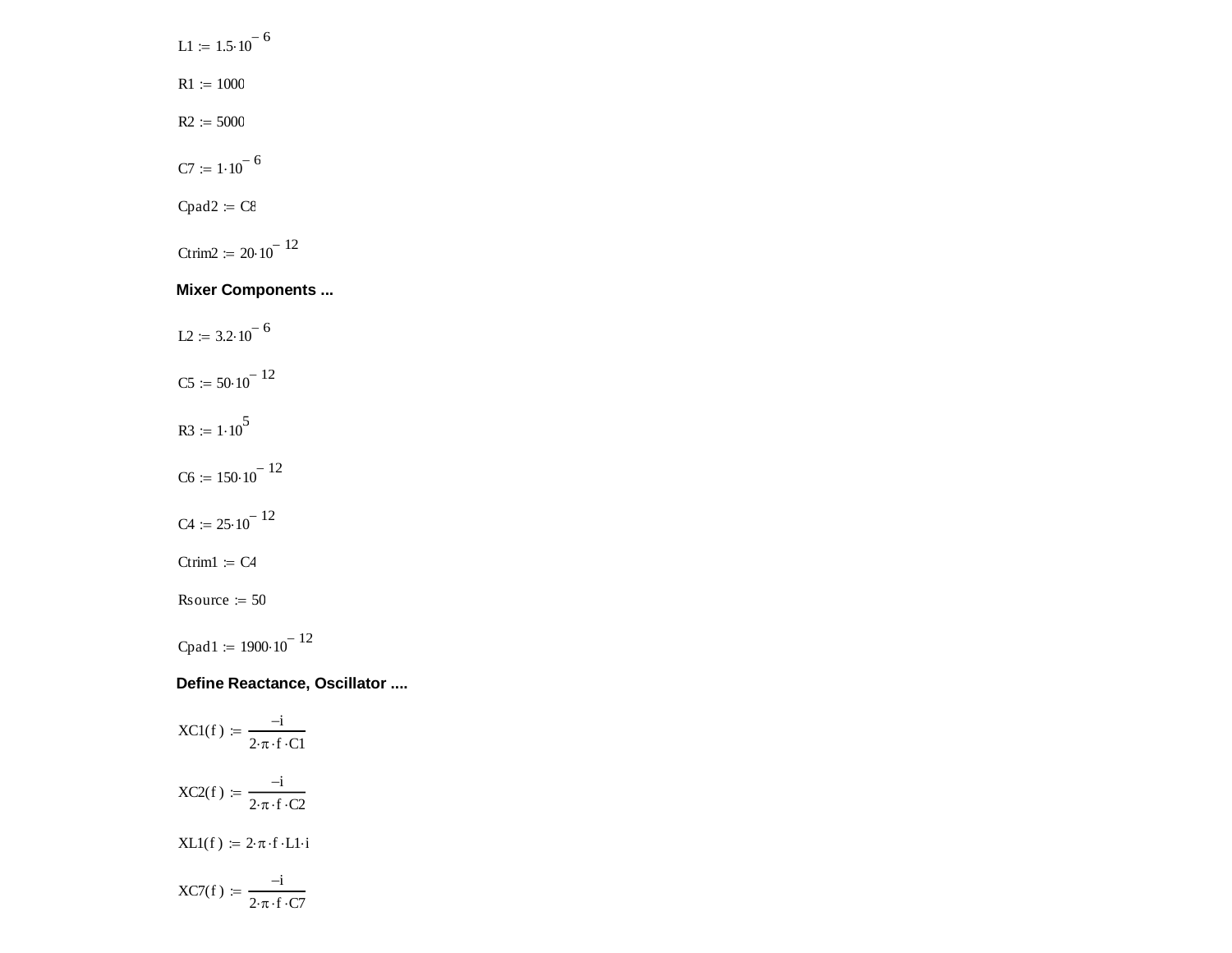$$
L1 := 1.5 \cdot 10^{-6}
$$
  
R1 := 1000  
R2 := 5000  
C7 := 1 \cdot 10^{-6}  
Cpad2 := C8  
Ctrim2 := 20 \cdot 10^{-12}

### **Mixer Components ...**

 $L2 := 3.2 \cdot 10^{-6}$  $CS \coloneqq 50 \cdot 10^{-12}$  $R3 := 1.10^5$  $\text{C6} \coloneqq 150 \cdot 10^{-12}$  $C4 \coloneqq 25.10^{-12}$ Ctrim1  $\coloneqq$  C4  $Rsource := 50$ Cpad1 :=  $1900 \cdot 10^{-12}$ 

**Define Reactance, Oscillator ....**

$$
XC1(f) := \frac{-i}{2 \cdot \pi \cdot f \cdot C1}
$$

$$
XC2(f) := \frac{-i}{2 \cdot \pi \cdot f \cdot C2}
$$

$$
XL1(f) := 2 \cdot \pi \cdot f \cdot L1 \cdot i
$$

$$
XC7(f) := \frac{-i}{2 \cdot \pi \cdot f \cdot C7}
$$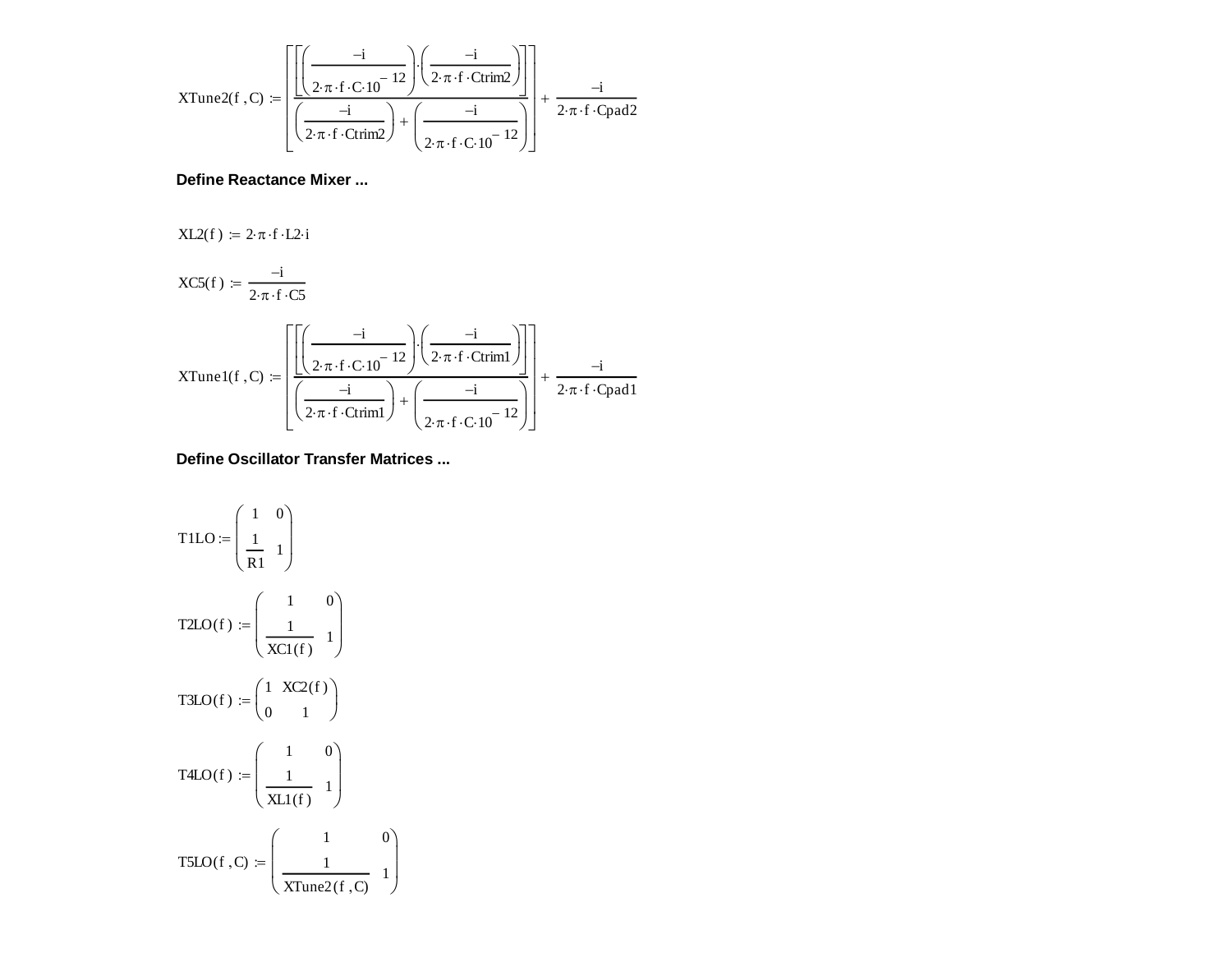$$
\text{XTune2}(f, C) \coloneqq \left[ \frac{\left[ \left( \frac{-i}{2 \cdot \pi \cdot f \cdot C \cdot 10^{-12}} \right) \cdot \left( \frac{-i}{2 \cdot \pi \cdot f \cdot \text{Ctrim2}} \right) \right]}{\left( \frac{-i}{2 \cdot \pi \cdot f \cdot \text{Ctrim2}} \right) + \left( \frac{-i}{2 \cdot \pi \cdot f \cdot C \cdot 10^{-12}} \right)} \right] + \frac{-i}{2 \cdot \pi \cdot f \cdot \text{Cpa}d2}
$$

**Define Reactance Mixer ...**

 $XL2(f) = 2 \cdot \pi \cdot f \cdot L2 \cdot i$ 

$$
XC5(f) := \frac{-i}{2 \cdot \pi \cdot f \cdot CS}
$$
  

$$
XTune1(f, C) := \left[ \frac{\left[ \left( \frac{-i}{2 \cdot \pi \cdot f \cdot C \cdot 10^{-12}} \right) \cdot \left( \frac{-i}{2 \cdot \pi \cdot f \cdot C \cdot 10^{-12}} \right) \right] \right] + \frac{-i}{2 \cdot \pi \cdot f \cdot C
$$
pad1

 $\overline{\phantom{a}}$ 

J

**Define Oscillator Transfer Matrices ...**

$$
T1LO := \begin{pmatrix} 1 & 0 \\ \frac{1}{R1} & 1 \end{pmatrix}
$$

$$
T2LO(f) := \begin{pmatrix} 1 & 0 \\ \frac{1}{XC1(f)} & 1 \end{pmatrix}
$$

$$
T3LO(f) := \begin{pmatrix} 1 & XC2(f) \\ 0 & 1 \end{pmatrix}
$$

$$
T4LO(f) := \begin{pmatrix} 1 & 0 \\ \frac{1}{XL1(f)} & 1 \end{pmatrix}
$$

$$
T5LO(f, C) := \begin{pmatrix} 1 & 0 \\ \frac{1}{XTL1(f)} & 1 \end{pmatrix}
$$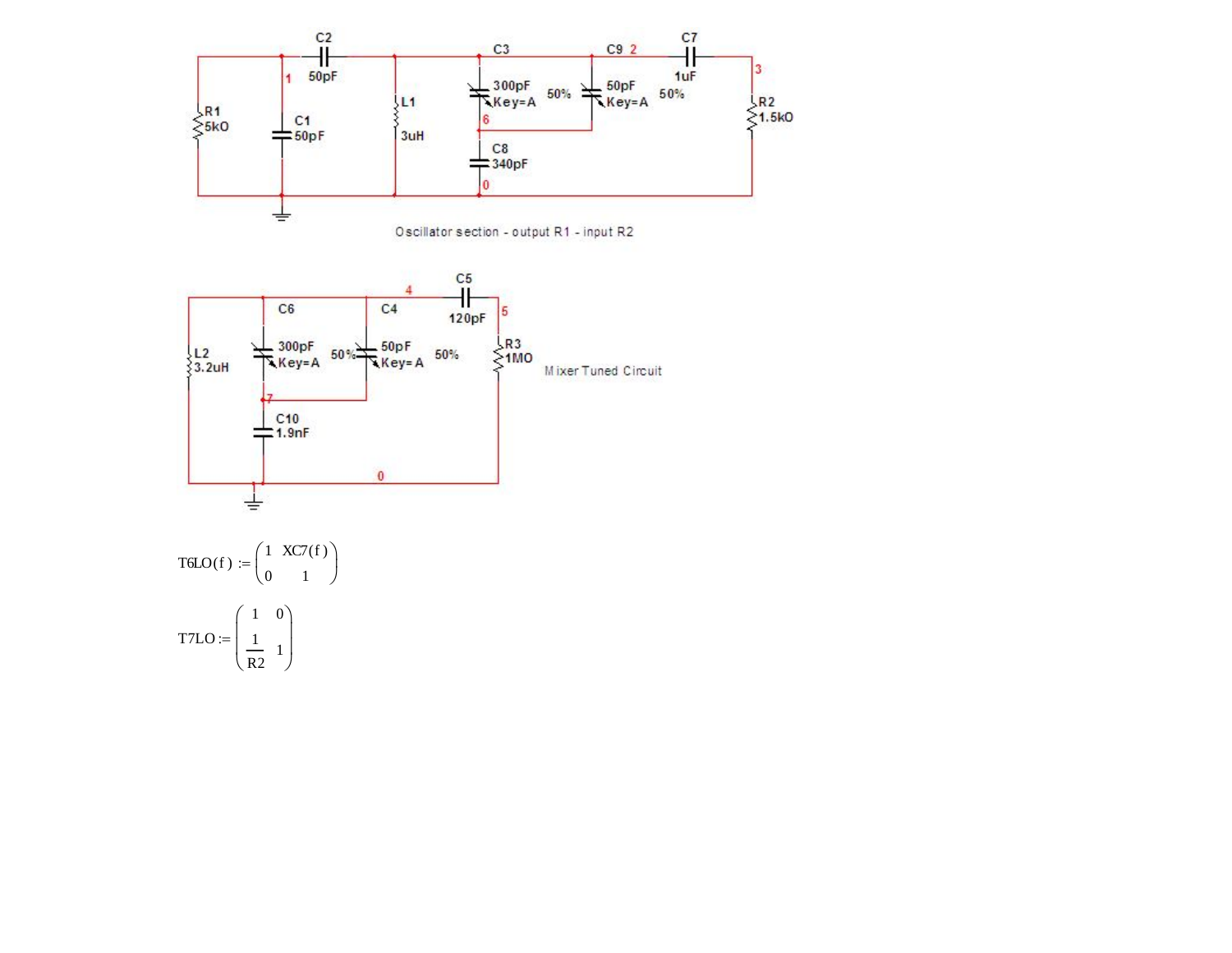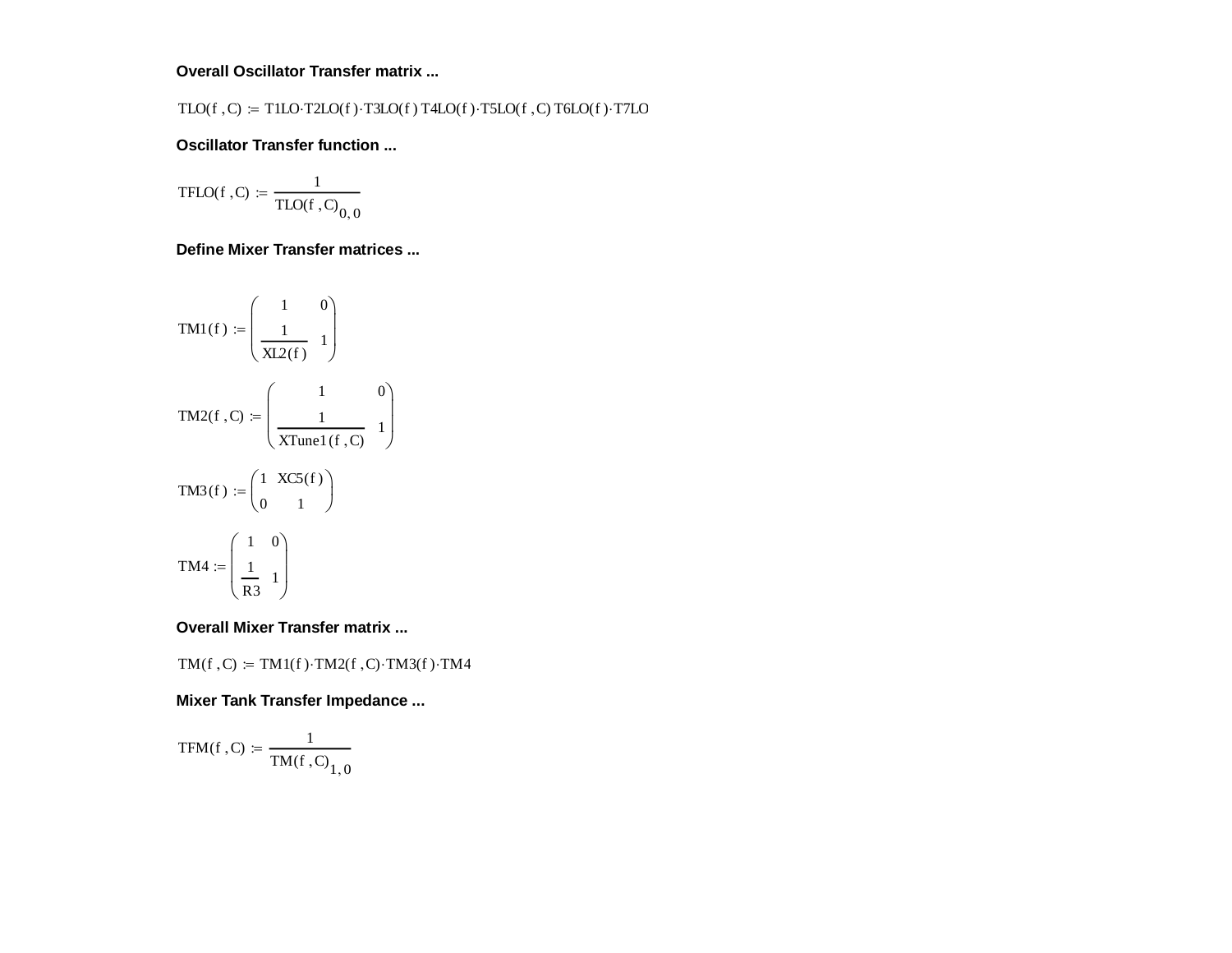#### **Overall Oscillator Transfer matrix ...**

 $TLO(f, C) = TILO-T2LO(f) \cdot T3LO(f) T4LO(f) \cdot T5LO(f, C) T6LO(f) \cdot T7LO$ 

**Oscillator Transfer function ...**

$$
\mathsf{TFLO}(f, C) := \frac{1}{\mathsf{TLO}(f, C)_{0,0}}
$$

**Define Mixer Transfer matrices ...**

$$
TM1(f) := \begin{pmatrix} 1 & 0 \\ \frac{1}{XL2(f)} & 1 \end{pmatrix}
$$

$$
TM2(f, C) := \begin{pmatrix} 1 & 0 \\ \frac{1}{XTunel(f, C)} & 1 \end{pmatrix}
$$

$$
TM3(f) := \begin{pmatrix} 1 & XC5(f) \\ 0 & 1 \end{pmatrix}
$$

$$
TM4 := \begin{pmatrix} 1 & 0 \\ \frac{1}{R3} & 1 \end{pmatrix}
$$

**Overall Mixer Transfer matrix ...**

 $TM(f, C) := TM1(f) \cdot TM2(f, C) \cdot TM3(f) \cdot TM4$ 

**Mixer Tank Transfer Impedance ...**

$$
TFM(f, C) \coloneqq \frac{1}{TM(f, C)_{1, 0}}
$$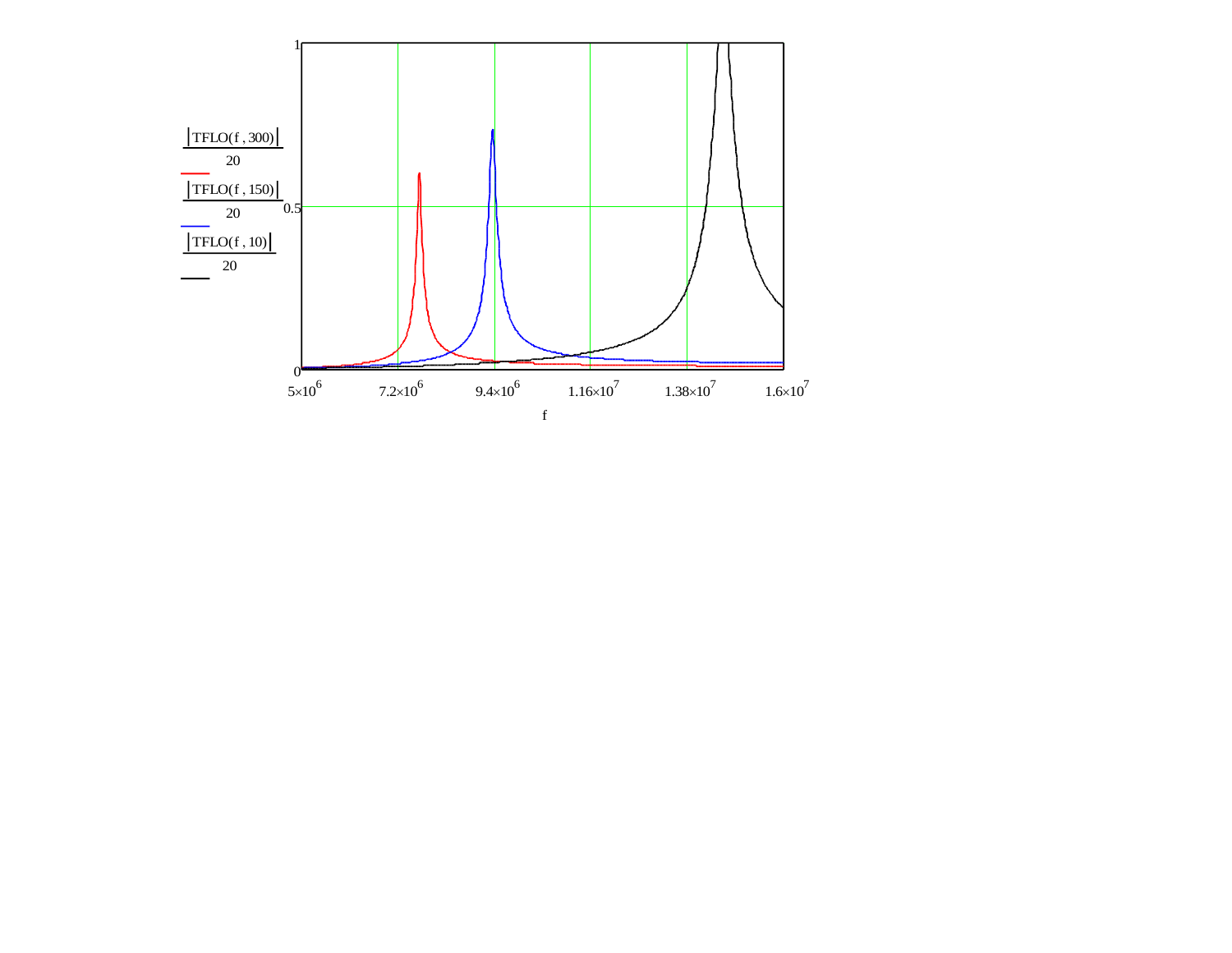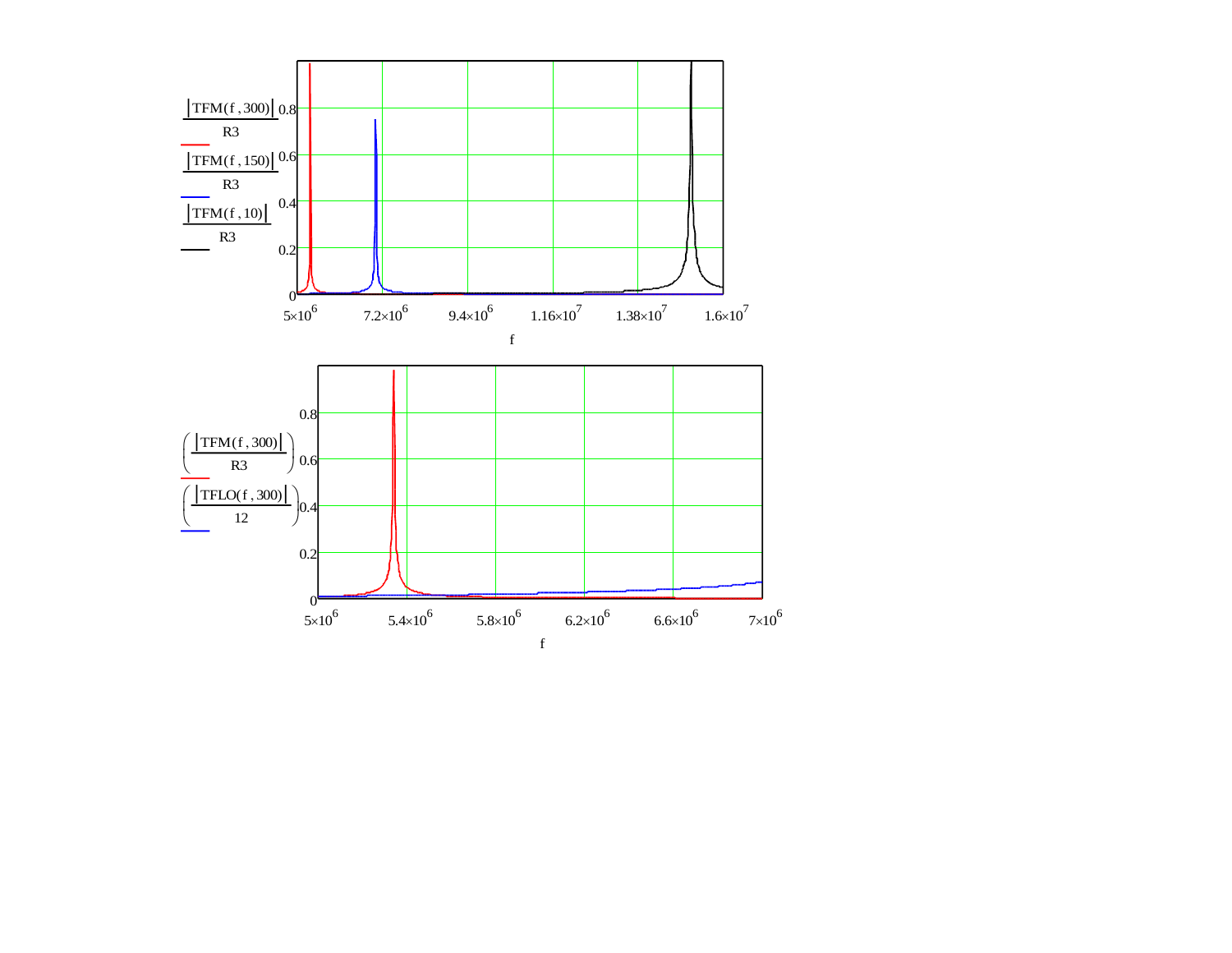